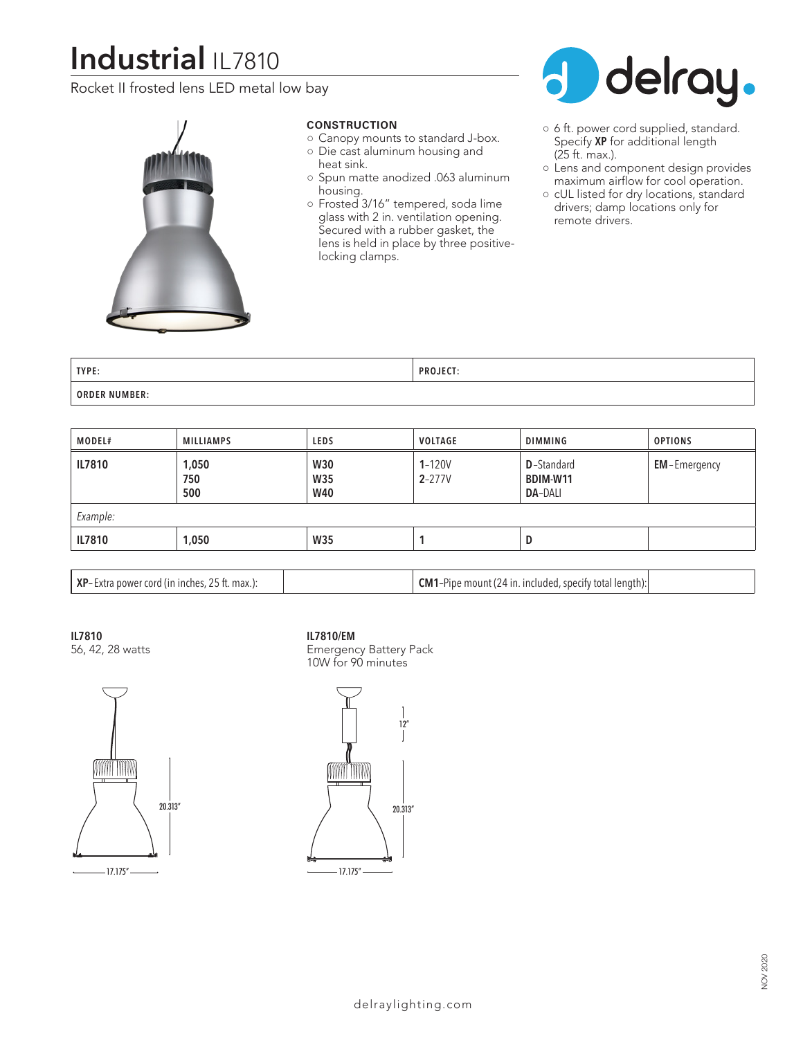# **Industrial** IL7810

Rocket II frosted lens LED metal low bay



### **CONSTRUCTION**

- Canopy mounts to standard J-box. ○ Die cast aluminum housing and heat sink.
- Spun matte anodized .063 aluminum housing.
- Frosted 3/16" tempered, soda lime glass with 2 in. ventilation opening. Secured with a rubber gasket, the lens is held in place by three positivelocking clamps.



- 6 ft. power cord supplied, standard. Specify **XP** for additional length (25 ft. max.).
- Lens and component design provides maximum airflow for cool operation.

○ cUL listed for dry locations, standard drivers; damp locations only for remote drivers.

| TYPE:                | $- - -$<br><b>DDO</b><br>DJECT |
|----------------------|--------------------------------|
| <b>ORDER NUMBER:</b> |                                |

| MODEL#   | MILLIAMPS           | LEDS                                   | VOLTAGE                  | DIMMING                                                 | <b>OPTIONS</b>      |  |  |
|----------|---------------------|----------------------------------------|--------------------------|---------------------------------------------------------|---------------------|--|--|
| IL7810   | 1,050<br>750<br>500 | <b>W30</b><br><b>W35</b><br><b>W40</b> | $1 - 120V$<br>$2 - 277V$ | <b>D</b> -Standard<br><b>BDIM-W11</b><br><b>DA-DALI</b> | <b>EM-Emergency</b> |  |  |
| Example: |                     |                                        |                          |                                                         |                     |  |  |
| IL7810   | 1,050               | <b>W35</b>                             |                          | D                                                       |                     |  |  |
|          |                     |                                        |                          |                                                         |                     |  |  |

| <b>XP</b> -Extra power cord (in inches, 25 ft. max.):<br><b>CM1</b> -Pipe mount (24 in. included, specify total length): |  |
|--------------------------------------------------------------------------------------------------------------------------|--|
|--------------------------------------------------------------------------------------------------------------------------|--|

**IL7810**

56, 42, 28 watts

#### **IL7810/EM**



Emergency Battery Pack 10W for 90 minutes